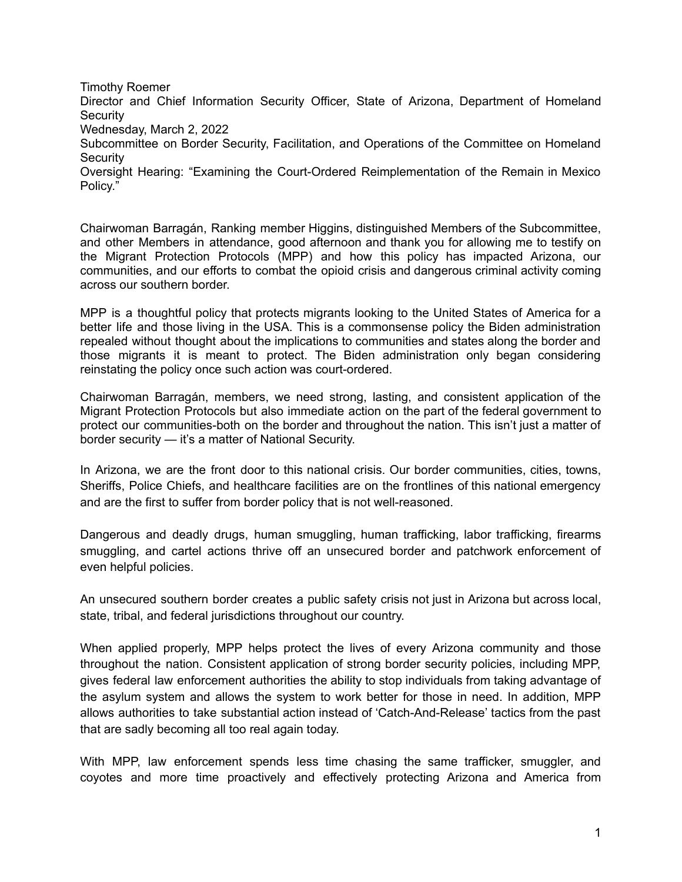Timothy Roemer

Director and Chief Information Security Officer, State of Arizona, Department of Homeland **Security** 

Wednesday, March 2, 2022

Subcommittee on Border Security, Facilitation, and Operations of the Committee on Homeland **Security** 

Oversight Hearing: "Examining the Court-Ordered Reimplementation of the Remain in Mexico Policy."

Chairwoman Barragán, Ranking member Higgins, distinguished Members of the Subcommittee, and other Members in attendance, good afternoon and thank you for allowing me to testify on the Migrant Protection Protocols (MPP) and how this policy has impacted Arizona, our communities, and our efforts to combat the opioid crisis and dangerous criminal activity coming across our southern border.

MPP is a thoughtful policy that protects migrants looking to the United States of America for a better life and those living in the USA. This is a commonsense policy the Biden administration repealed without thought about the implications to communities and states along the border and those migrants it is meant to protect. The Biden administration only began considering reinstating the policy once such action was court-ordered.

Chairwoman Barragán, members, we need strong, lasting, and consistent application of the Migrant Protection Protocols but also immediate action on the part of the federal government to protect our communities-both on the border and throughout the nation. This isn't just a matter of border security — it's a matter of National Security.

In Arizona, we are the front door to this national crisis. Our border communities, cities, towns, Sheriffs, Police Chiefs, and healthcare facilities are on the frontlines of this national emergency and are the first to suffer from border policy that is not well-reasoned.

Dangerous and deadly drugs, human smuggling, human trafficking, labor trafficking, firearms smuggling, and cartel actions thrive off an unsecured border and patchwork enforcement of even helpful policies.

An unsecured southern border creates a public safety crisis not just in Arizona but across local, state, tribal, and federal jurisdictions throughout our country.

When applied properly, MPP helps protect the lives of every Arizona community and those throughout the nation. Consistent application of strong border security policies, including MPP, gives federal law enforcement authorities the ability to stop individuals from taking advantage of the asylum system and allows the system to work better for those in need. In addition, MPP allows authorities to take substantial action instead of 'Catch-And-Release' tactics from the past that are sadly becoming all too real again today.

With MPP, law enforcement spends less time chasing the same trafficker, smuggler, and coyotes and more time proactively and effectively protecting Arizona and America from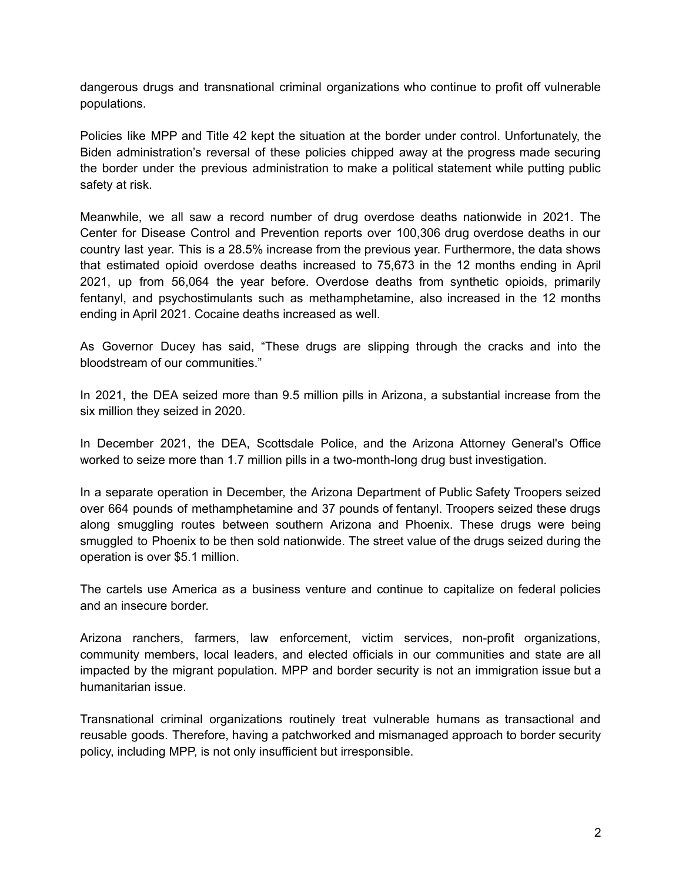dangerous drugs and transnational criminal organizations who continue to profit off vulnerable populations.

Policies like MPP and Title 42 kept the situation at the border under control. Unfortunately, the Biden administration's reversal of these policies chipped away at the progress made securing the border under the previous administration to make a political statement while putting public safety at risk.

Meanwhile, we all saw a record number of drug overdose deaths nationwide in 2021. The Center for Disease Control and Prevention reports over 100,306 drug overdose deaths in our country last year. This is a 28.5% increase from the previous year. Furthermore, the data shows that estimated opioid overdose deaths increased to 75,673 in the 12 months ending in April 2021, up from 56,064 the year before. Overdose deaths from synthetic opioids, primarily fentanyl, and psychostimulants such as methamphetamine, also increased in the 12 months ending in April 2021. Cocaine deaths increased as well.

As Governor Ducey has said, "These drugs are slipping through the cracks and into the bloodstream of our communities."

In 2021, the DEA seized more than 9.5 million pills in Arizona, a substantial increase from the six million they seized in 2020.

In December 2021, the DEA, Scottsdale Police, and the Arizona Attorney General's Office worked to seize more than 1.7 million pills in a two-month-long drug bust investigation.

In a separate operation in December, the Arizona Department of Public Safety Troopers seized over 664 pounds of methamphetamine and 37 pounds of fentanyl. Troopers seized these drugs along smuggling routes between southern Arizona and Phoenix. These drugs were being smuggled to Phoenix to be then sold nationwide. The street value of the drugs seized during the operation is over \$5.1 million.

The cartels use America as a business venture and continue to capitalize on federal policies and an insecure border.

Arizona ranchers, farmers, law enforcement, victim services, non-profit organizations, community members, local leaders, and elected officials in our communities and state are all impacted by the migrant population. MPP and border security is not an immigration issue but a humanitarian issue.

Transnational criminal organizations routinely treat vulnerable humans as transactional and reusable goods. Therefore, having a patchworked and mismanaged approach to border security policy, including MPP, is not only insufficient but irresponsible.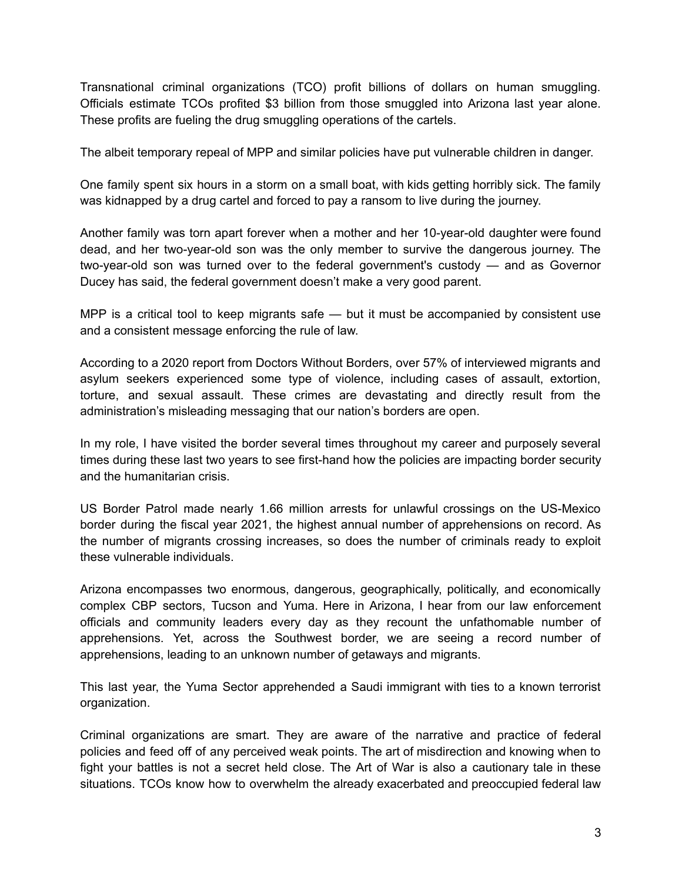Transnational criminal organizations (TCO) profit billions of dollars on human smuggling. Officials estimate TCOs profited \$3 billion from those smuggled into Arizona last year alone. These profits are fueling the drug smuggling operations of the cartels.

The albeit temporary repeal of MPP and similar policies have put vulnerable children in danger.

One family spent six hours in a storm on a small boat, with kids getting horribly sick. The family was kidnapped by a drug cartel and forced to pay a ransom to live during the journey.

Another family was torn apart forever when a mother and her 10-year-old daughter were found dead, and her two-year-old son was the only member to survive the dangerous journey. The two-year-old son was turned over to the federal government's custody — and as Governor Ducey has said, the federal government doesn't make a very good parent.

MPP is a critical tool to keep migrants safe — but it must be accompanied by consistent use and a consistent message enforcing the rule of law.

According to a 2020 report from Doctors Without Borders, over 57% of interviewed migrants and asylum seekers experienced some type of violence, including cases of assault, extortion, torture, and sexual assault. These crimes are devastating and directly result from the administration's misleading messaging that our nation's borders are open.

In my role, I have visited the border several times throughout my career and purposely several times during these last two years to see first-hand how the policies are impacting border security and the humanitarian crisis.

US Border Patrol made nearly 1.66 million arrests for unlawful crossings on the US-Mexico border during the fiscal year 2021, the highest annual number of apprehensions on record. As the number of migrants crossing increases, so does the number of criminals ready to exploit these vulnerable individuals.

Arizona encompasses two enormous, dangerous, geographically, politically, and economically complex CBP sectors, Tucson and Yuma. Here in Arizona, I hear from our law enforcement officials and community leaders every day as they recount the unfathomable number of apprehensions. Yet, across the Southwest border, we are seeing a record number of apprehensions, leading to an unknown number of getaways and migrants.

This last year, the Yuma Sector apprehended a Saudi immigrant with ties to a known terrorist organization.

Criminal organizations are smart. They are aware of the narrative and practice of federal policies and feed off of any perceived weak points. The art of misdirection and knowing when to fight your battles is not a secret held close. The Art of War is also a cautionary tale in these situations. TCOs know how to overwhelm the already exacerbated and preoccupied federal law